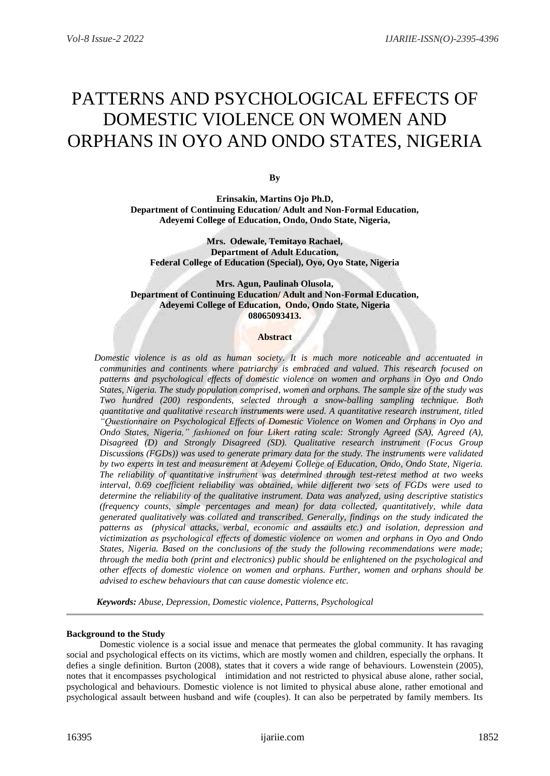# PATTERNS AND PSYCHOLOGICAL EFFECTS OF DOMESTIC VIOLENCE ON WOMEN AND ORPHANS IN OYO AND ONDO STATES, NIGERIA

**By**

**Erinsakin, Martins Ojo Ph.D, Department of Continuing Education/ Adult and Non-Formal Education, Adeyemi College of Education, Ondo, Ondo State, Nigeria,**

**Mrs. Odewale, Temitayo Rachael, Department of Adult Education, Federal College of Education (Special), Oyo, Oyo State, Nigeria**

**Mrs. Agun, Paulinah Olusola, Department of Continuing Education/ Adult and Non-Formal Education, Adeyemi College of Education, Ondo, Ondo State, Nigeria 08065093413.**

## **Abstract**

 *Domestic violence is as old as human society. It is much more noticeable and accentuated in communities and continents where patriarchy is embraced and valued. This research focused on patterns and psychological effects of domestic violence on women and orphans in Oyo and Ondo States, Nigeria. The study population comprised, women and orphans. The sample size of the study was Two hundred (200) respondents, selected through a snow-balling sampling technique. Both quantitative and qualitative research instruments were used. A quantitative research instrument, titled "Questionnaire on Psychological Effects of Domestic Violence on Women and Orphans in Oyo and Ondo States, Nigeria," fashioned on four Likert rating scale: Strongly Agreed (SA), Agreed (A), Disagreed (D) and Strongly Disagreed (SD). Qualitative research instrument (Focus Group Discussions (FGDs)) was used to generate primary data for the study. The instruments were validated by two experts in test and measurement at Adeyemi College of Education, Ondo, Ondo State, Nigeria. The reliability of quantitative instrument was determined through test-retest method at two weeks interval, 0.69 coefficient reliability was obtained, while different two sets of FGDs were used to determine the reliability of the qualitative instrument. Data was analyzed, using descriptive statistics (frequency counts, simple percentages and mean) for data collected, quantitatively, while data generated qualitatively was collated and transcribed. Generally, findings on the study indicated the patterns as (physical attacks, verbal, economic and assaults etc.) and isolation, depression and victimization as psychological effects of domestic violence on women and orphans in Oyo and Ondo States, Nigeria. Based on the conclusions of the study the following recommendations were made; through the media both (print and electronics) public should be enlightened on the psychological and other effects of domestic violence on women and orphans. Further, women and orphans should be advised to eschew behaviours that can cause domestic violence etc.* 

 *Keywords: Abuse, Depression, Domestic violence, Patterns, Psychological*

## **Background to the Study**

Domestic violence is a social issue and menace that permeates the global community. It has ravaging social and psychological effects on its victims, which are mostly women and children, especially the orphans. It defies a single definition. Burton (2008), states that it covers a wide range of behaviours. Lowenstein (2005), notes that it encompasses psychological intimidation and not restricted to physical abuse alone, rather social, psychological and behaviours. Domestic violence is not limited to physical abuse alone, rather emotional and psychological assault between husband and wife (couples). It can also be perpetrated by family members. Its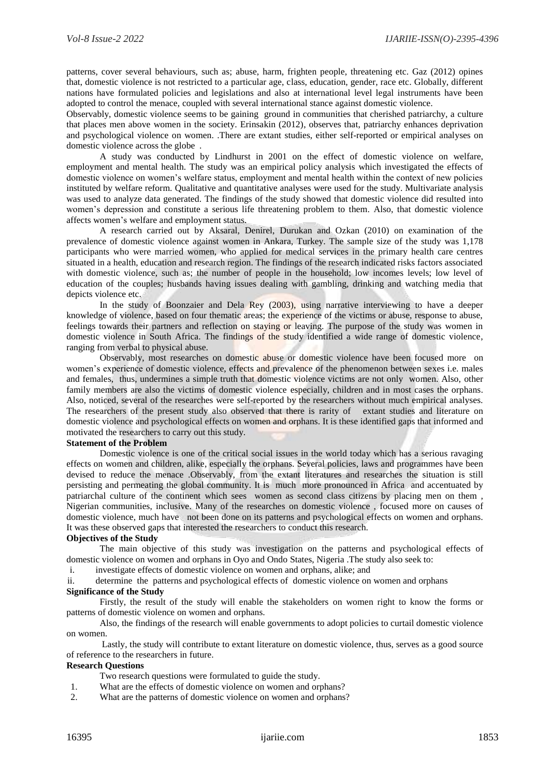patterns, cover several behaviours, such as; abuse, harm, frighten people, threatening etc. Gaz (2012) opines that, domestic violence is not restricted to a particular age, class, education, gender, race etc. Globally, different nations have formulated policies and legislations and also at international level legal instruments have been adopted to control the menace, coupled with several international stance against domestic violence.

Observably, domestic violence seems to be gaining ground in communities that cherished patriarchy, a culture that places men above women in the society. Erinsakin (2012), observes that, patriarchy enhances deprivation and psychological violence on women. .There are extant studies, either self-reported or empirical analyses on domestic violence across the globe .

A study was conducted by Lindhurst in 2001 on the effect of domestic violence on welfare, employment and mental health. The study was an empirical policy analysis which investigated the effects of domestic violence on women's welfare status, employment and mental health within the context of new policies instituted by welfare reform. Qualitative and quantitative analyses were used for the study. Multivariate analysis was used to analyze data generated. The findings of the study showed that domestic violence did resulted into women's depression and constitute a serious life threatening problem to them. Also, that domestic violence affects women's welfare and employment status.

A research carried out by Aksaral, Denirel, Durukan and Ozkan (2010) on examination of the prevalence of domestic violence against women in Ankara, Turkey. The sample size of the study was 1,178 participants who were married women, who applied for medical services in the primary health care centres situated in a health, education and research region. The findings of the research indicated risks factors associated with domestic violence, such as; the number of people in the household; low incomes levels; low level of education of the couples; husbands having issues dealing with gambling, drinking and watching media that depicts violence etc.

In the study of Boonzaier and Dela Rey (2003), using narrative interviewing to have a deeper knowledge of violence, based on four thematic areas; the experience of the victims or abuse, response to abuse, feelings towards their partners and reflection on staying or leaving. The purpose of the study was women in domestic violence in South Africa. The findings of the study identified a wide range of domestic violence, ranging from verbal to physical abuse.

Observably, most researches on domestic abuse or domestic violence have been focused more on women's experience of domestic violence, effects and prevalence of the phenomenon between sexes i.e. males and females, thus, undermines a simple truth that domestic violence victims are not only women. Also, other family members are also the victims of domestic violence especially, children and in most cases the orphans. Also, noticed, several of the researches were self-reported by the researchers without much empirical analyses. The researchers of the present study also observed that there is rarity of extant studies and literature on domestic violence and psychological effects on women and orphans. It is these identified gaps that informed and motivated the researchers to carry out this study.

## **Statement of the Problem**

Domestic violence is one of the critical social issues in the world today which has a serious ravaging effects on women and children, alike, especially the orphans. Several policies, laws and programmes have been devised to reduce the menace .Observably, from the extant literatures and researches the situation is still persisting and permeating the global community. It is much more pronounced in Africa and accentuated by patriarchal culture of the continent which sees women as second class citizens by placing men on them , Nigerian communities, inclusive. Many of the researches on domestic violence , focused more on causes of domestic violence, much have not been done on its patterns and psychological effects on women and orphans. It was these observed gaps that interested the researchers to conduct this research.

#### **Objectives of the Study**

The main objective of this study was investigation on the patterns and psychological effects of domestic violence on women and orphans in Oyo and Ondo States, Nigeria .The study also seek to:

i. investigate effects of domestic violence on women and orphans, alike; and

ii. determine the patterns and psychological effects of domestic violence on women and orphans

#### **Significance of the Study**

Firstly, the result of the study will enable the stakeholders on women right to know the forms or patterns of domestic violence on women and orphans.

Also, the findings of the research will enable governments to adopt policies to curtail domestic violence on women.

Lastly, the study will contribute to extant literature on domestic violence, thus, serves as a good source of reference to the researchers in future.

#### **Research Questions**

Two research questions were formulated to guide the study.

- 1. What are the effects of domestic violence on women and orphans?
- 2. What are the patterns of domestic violence on women and orphans?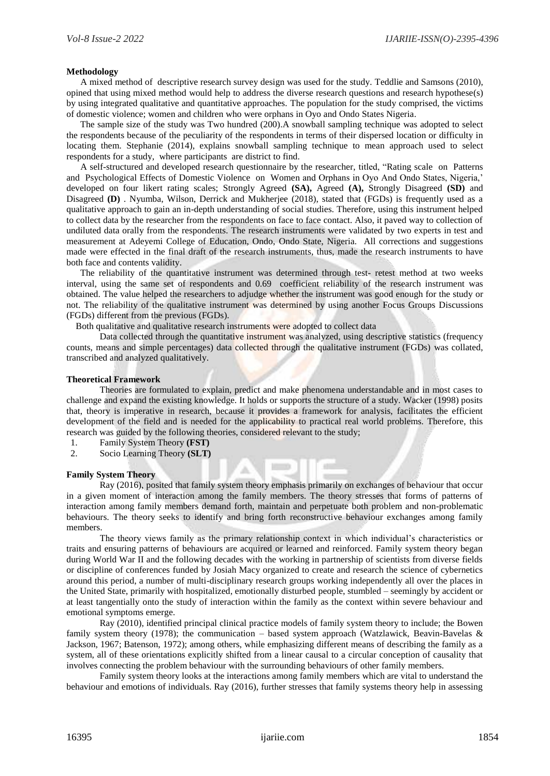#### **Methodology**

 A mixed method of descriptive research survey design was used for the study. Teddlie and Samsons (2010), opined that using mixed method would help to address the diverse research questions and research hypothese(s) by using integrated qualitative and quantitative approaches. The population for the study comprised, the victims of domestic violence; women and children who were orphans in Oyo and Ondo States Nigeria.

The sample size of the study was Two hundred (200). A snowball sampling technique was adopted to select the respondents because of the peculiarity of the respondents in terms of their dispersed location or difficulty in locating them. Stephanie (2014), explains snowball sampling technique to mean approach used to select respondents for a study, where participants are district to find.

 A self-structured and developed research questionnaire by the researcher, titled, "Rating scale on Patterns and Psychological Effects of Domestic Violence on Women and Orphans in Oyo And Ondo States, Nigeria,' developed on four likert rating scales; Strongly Agreed **(SA),** Agreed **(A),** Strongly Disagreed **(SD)** and Disagreed **(D)** . Nyumba, Wilson, Derrick and Mukherjee (2018), stated that (FGDs) is frequently used as a qualitative approach to gain an in-depth understanding of social studies. Therefore, using this instrument helped to collect data by the researcher from the respondents on face to face contact. Also, it paved way to collection of undiluted data orally from the respondents. The research instruments were validated by two experts in test and measurement at Adeyemi College of Education, Ondo, Ondo State, Nigeria. All corrections and suggestions made were effected in the final draft of the research instruments, thus, made the research instruments to have both face and contents validity.

 The reliability of the quantitative instrument was determined through test- retest method at two weeks interval, using the same set of respondents and 0.69 coefficient reliability of the research instrument was obtained. The value helped the researchers to adjudge whether the instrument was good enough for the study or not. The reliability of the qualitative instrument was determined by using another Focus Groups Discussions (FGDs) different from the previous (FGDs).

Both qualitative and qualitative research instruments were adopted to collect data

Data collected through the quantitative instrument was analyzed, using descriptive statistics (frequency counts, means and simple percentages) data collected through the qualitative instrument (FGDs) was collated, transcribed and analyzed qualitatively.

#### **Theoretical Framework**

Theories are formulated to explain, predict and make phenomena understandable and in most cases to challenge and expand the existing knowledge. It holds or supports the structure of a study. Wacker (1998) posits that, theory is imperative in research, because it provides a framework for analysis, facilitates the efficient development of the field and is needed for the applicability to practical real world problems. Therefore, this research was guided by the following theories, considered relevant to the study;

1. Family System Theory **(FST)**

2. Socio Learning Theory **(SLT)**

#### **Family System Theory**

Ray (2016), posited that family system theory emphasis primarily on exchanges of behaviour that occur in a given moment of interaction among the family members. The theory stresses that forms of patterns of interaction among family members demand forth, maintain and perpetuate both problem and non-problematic behaviours. The theory seeks to identify and bring forth reconstructive behaviour exchanges among family members.

 $10-10$ 

×

The theory views family as the primary relationship context in which individual's characteristics or traits and ensuring patterns of behaviours are acquired or learned and reinforced. Family system theory began during World War II and the following decades with the working in partnership of scientists from diverse fields or discipline of conferences funded by Josiah Macy organized to create and research the science of cybernetics around this period, a number of multi-disciplinary research groups working independently all over the places in the United State, primarily with hospitalized, emotionally disturbed people, stumbled – seemingly by accident or at least tangentially onto the study of interaction within the family as the context within severe behaviour and emotional symptoms emerge.

Ray (2010), identified principal clinical practice models of family system theory to include; the Bowen family system theory (1978); the communication – based system approach (Watzlawick, Beavin-Bavelas  $\&$ Jackson, 1967; Batenson, 1972); among others, while emphasizing different means of describing the family as a system, all of these orientations explicitly shifted from a linear causal to a circular conception of causality that involves connecting the problem behaviour with the surrounding behaviours of other family members.

Family system theory looks at the interactions among family members which are vital to understand the behaviour and emotions of individuals. Ray (2016), further stresses that family systems theory help in assessing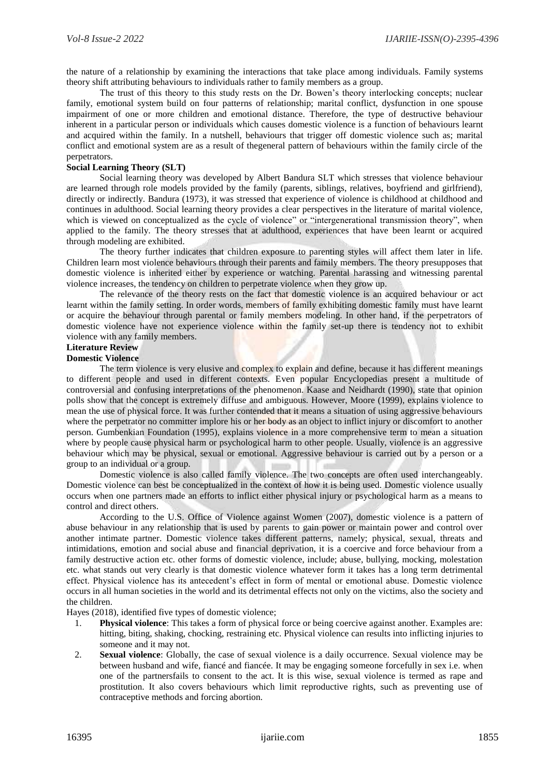the nature of a relationship by examining the interactions that take place among individuals. Family systems theory shift attributing behaviours to individuals rather to family members as a group.

The trust of this theory to this study rests on the Dr. Bowen's theory interlocking concepts; nuclear family, emotional system build on four patterns of relationship; marital conflict, dysfunction in one spouse impairment of one or more children and emotional distance. Therefore, the type of destructive behaviour inherent in a particular person or individuals which causes domestic violence is a function of behaviours learnt and acquired within the family. In a nutshell, behaviours that trigger off domestic violence such as; marital conflict and emotional system are as a result of thegeneral pattern of behaviours within the family circle of the perpetrators.

## **Social Learning Theory (SLT)**

Social learning theory was developed by Albert Bandura SLT which stresses that violence behaviour are learned through role models provided by the family (parents, siblings, relatives, boyfriend and girlfriend), directly or indirectly. Bandura (1973), it was stressed that experience of violence is childhood at childhood and continues in adulthood. Social learning theory provides a clear perspectives in the literature of marital violence, which is viewed on conceptualized as the cycle of violence" or "intergenerational transmission theory", when applied to the family. The theory stresses that at adulthood, experiences that have been learnt or acquired through modeling are exhibited.

The theory further indicates that children exposure to parenting styles will affect them later in life. Children learn most violence behaviours through their parents and family members. The theory presupposes that domestic violence is inherited either by experience or watching. Parental harassing and witnessing parental violence increases, the tendency on children to perpetrate violence when they grow up.

The relevance of the theory rests on the fact that domestic violence is an acquired behaviour or act learnt within the family setting. In order words, members of family exhibiting domestic family must have learnt or acquire the behaviour through parental or family members modeling. In other hand, if the perpetrators of domestic violence have not experience violence within the family set-up there is tendency not to exhibit violence with any family members.

## **Literature Review**

## **Domestic Violence**

The term violence is very elusive and complex to explain and define, because it has different meanings to different people and used in different contexts. Even popular Encyclopedias present a multitude of controversial and confusing interpretations of the phenomenon. Kaase and Neidhardt (1990), state that opinion polls show that the concept is extremely diffuse and ambiguous. However, Moore (1999), explains violence to mean the use of physical force. It was further contended that it means a situation of using aggressive behaviours where the perpetrator no committer implore his or her body as an object to inflict injury or discomfort to another person. Gumbenkian Foundation (1995), explains violence in a more comprehensive term to mean a situation where by people cause physical harm or psychological harm to other people. Usually, violence is an aggressive behaviour which may be physical, sexual or emotional. Aggressive behaviour is carried out by a person or a group to an individual or a group.

Domestic violence is also called family violence. The two concepts are often used interchangeably. Domestic violence can best be conceptualized in the context of how it is being used. Domestic violence usually occurs when one partners made an efforts to inflict either physical injury or psychological harm as a means to control and direct others.

According to the U.S. Office of Violence against Women (2007), domestic violence is a pattern of abuse behaviour in any relationship that is used by parents to gain power or maintain power and control over another intimate partner. Domestic violence takes different patterns, namely; physical, sexual, threats and intimidations, emotion and social abuse and financial deprivation, it is a coercive and force behaviour from a family destructive action etc. other forms of domestic violence, include; abuse, bullying, mocking, molestation etc. what stands out very clearly is that domestic violence whatever form it takes has a long term detrimental effect. Physical violence has its antecedent's effect in form of mental or emotional abuse. Domestic violence occurs in all human societies in the world and its detrimental effects not only on the victims, also the society and the children.

Hayes (2018), identified five types of domestic violence;

- 1. **Physical violence**: This takes a form of physical force or being coercive against another. Examples are: hitting, biting, shaking, chocking, restraining etc. Physical violence can results into inflicting injuries to someone and it may not.
- 2. **Sexual violence**: Globally, the case of sexual violence is a daily occurrence. Sexual violence may be between husband and wife, fiancé and fiancée. It may be engaging someone forcefully in sex i.e. when one of the partnersfails to consent to the act. It is this wise, sexual violence is termed as rape and prostitution. It also covers behaviours which limit reproductive rights, such as preventing use of contraceptive methods and forcing abortion.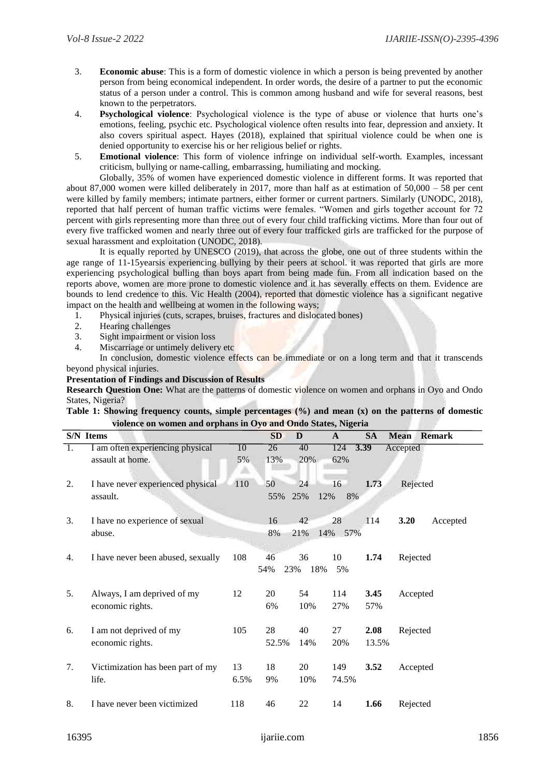- 3. **Economic abuse**: This is a form of domestic violence in which a person is being prevented by another person from being economical independent. In order words, the desire of a partner to put the economic status of a person under a control. This is common among husband and wife for several reasons, best known to the perpetrators.
- 4. **Psychological violence**: Psychological violence is the type of abuse or violence that hurts one's emotions, feeling, psychic etc. Psychological violence often results into fear, depression and anxiety. It also covers spiritual aspect. Hayes (2018), explained that spiritual violence could be when one is denied opportunity to exercise his or her religious belief or rights.
- 5. **Emotional violence**: This form of violence infringe on individual self-worth. Examples, incessant criticism, bullying or name-calling, embarrassing, humiliating and mocking.

Globally, 35% of women have experienced domestic violence in different forms. It was reported that about 87,000 women were killed deliberately in 2017, more than half as at estimation of 50,000 – 58 per cent were killed by family members; intimate partners, either former or current partners. Similarly (UNODC, 2018), reported that half percent of human traffic victims were females. "Women and girls together account for 72 percent with girls representing more than three out of every four child trafficking victims. More than four out of every five trafficked women and nearly three out of every four trafficked girls are trafficked for the purpose of sexual harassment and exploitation (UNODC, 2018).

It is equally reported by UNESCO (2019), that across the globe, one out of three students within the age range of 11-15yearsis experiencing bullying by their peers at school. it was reported that girls are more experiencing psychological bulling than boys apart from being made fun. From all indication based on the reports above, women are more prone to domestic violence and it has severally effects on them. Evidence are bounds to lend credence to this. Vic Health (2004), reported that domestic violence has a significant negative impact on the health and wellbeing at women in the following ways;

- 1. Physical injuries (cuts, scrapes, bruises, fractures and dislocated bones)
- 2. Hearing challenges
- 3. Sight impairment or vision loss
- 4. Miscarriage or untimely delivery etc

In conclusion, domestic violence effects can be immediate or on a long term and that it transcends beyond physical injuries.

## **Presentation of Findings and Discussion of Results**

**Research Question One:** What are the patterns of domestic violence on women and orphans in Oyo and Ondo States, Nigeria?

**Table 1: Showing frequency counts, simple percentages (%) and mean (x) on the patterns of domestic violence on women and orphans in Oyo and Ondo States, Nigeria** 

|    | S/N Items                                            |               | <b>SD</b>   | D                | A               | <b>SA</b>     | <b>Mean</b><br><b>Remark</b> |  |  |
|----|------------------------------------------------------|---------------|-------------|------------------|-----------------|---------------|------------------------------|--|--|
| 1. | I am often experiencing physical<br>assault at home. | 10<br>5%<br>盀 | 26<br>13%   | 40<br>20%        | 124<br>62%      | 3.39          | Accepted                     |  |  |
| 2. | I have never experienced physical<br>assault.        | 110           | 50<br>55%   | 24<br>25%        | 16<br>12%<br>8% | 1.73          | Rejected                     |  |  |
| 3. | I have no experience of sexual<br>abuse.             |               | 16<br>8%    | 42<br>21%        | 28<br>14% 57%   | 114           | 3.20<br>Accepted             |  |  |
| 4. | I have never been abused, sexually                   | 108           | 46<br>54%   | 36<br>18%<br>23% | 10<br>5%        | 1.74          | Rejected                     |  |  |
| 5. | Always, I am deprived of my<br>economic rights.      | 12            | 20<br>6%    | 54<br>10%        | 114<br>27%      | 3.45<br>57%   | Accepted                     |  |  |
| 6. | I am not deprived of my<br>economic rights.          | 105           | 28<br>52.5% | 40<br>14%        | 27<br>20%       | 2.08<br>13.5% | Rejected                     |  |  |
| 7. | Victimization has been part of my<br>life.           | 13<br>6.5%    | 18<br>9%    | 20<br>10%        | 149<br>74.5%    | 3.52          | Accepted                     |  |  |
| 8. | I have never been victimized                         | 118           | 46          | 22               | 14              | 1.66          | Rejected                     |  |  |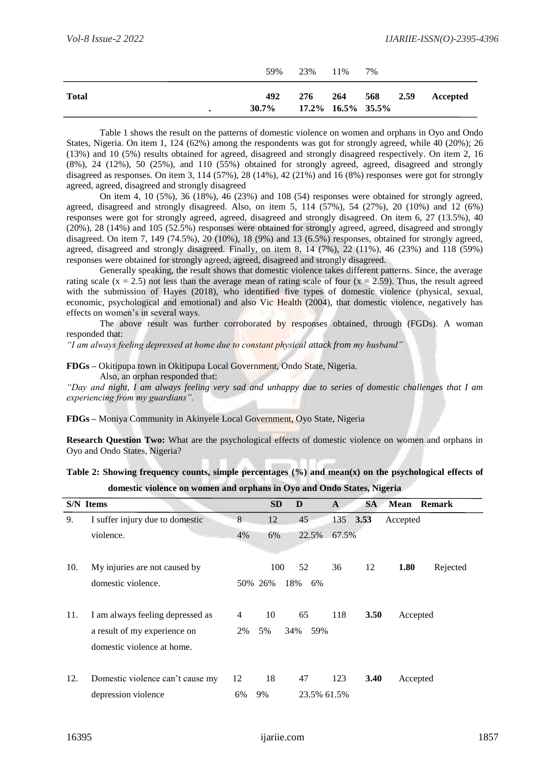|              |   | 59%                                  | 23% 11% | 7%           |          |
|--------------|---|--------------------------------------|---------|--------------|----------|
| <b>Total</b> | ٠ | 492<br>$30.7\%$ 17.2\% 16.5\% 35.5\% | 276     | 264 568 2.59 | Accepted |

Table 1 shows the result on the patterns of domestic violence on women and orphans in Oyo and Ondo States, Nigeria. On item 1, 124 (62%) among the respondents was got for strongly agreed, while 40 (20%); 26 (13%) and 10 (5%) results obtained for agreed, disagreed and strongly disagreed respectively. On item 2, 16 (8%), 24 (12%), 50 (25%), and 110 (55%) obtained for strongly agreed, agreed, disagreed and strongly disagreed as responses. On item 3, 114 (57%), 28 (14%), 42 (21%) and 16 (8%) responses were got for strongly agreed, agreed, disagreed and strongly disagreed

On item 4, 10 (5%), 36 (18%), 46 (23%) and 108 (54) responses were obtained for strongly agreed, agreed, disagreed and strongly disagreed. Also, on item 5, 114 (57%), 54 (27%), 20 (10%) and 12 (6%) responses were got for strongly agreed, agreed, disagreed and strongly disagreed. On item 6, 27 (13.5%), 40 (20%), 28 (14%) and 105 (52.5%) responses were obtained for strongly agreed, agreed, disagreed and strongly disagreed. On item 7, 149 (74.5%), 20 (10%), 18 (9%) and 13 (6.5%) responses, obtained for strongly agreed, agreed, disagreed and strongly disagreed. Finally, on item 8, 14 (7%), 22 (11%), 46 (23%) and 118 (59%) responses were obtained for strongly agreed, agreed, disagreed and strongly disagreed.

Generally speaking, the result shows that domestic violence takes different patterns. Since, the average rating scale ( $x = 2.5$ ) not less than the average mean of rating scale of four ( $x = 2.59$ ). Thus, the result agreed with the submission of Hayes (2018), who identified five types of domestic violence (physical, sexual, economic, psychological and emotional) and also Vic Health (2004), that domestic violence, negatively has effects on women's in several ways.

The above result was further corroborated by responses obtained, through (FGDs). A woman responded that:

*"I am always feeling depressed at home due to constant physical attack from my husband"*

#### **FDGs –** Okitipupa town in Okitipupa Local Government, Ondo State, Nigeria.

Also, an orphan responded that:

*"Day and night, I am always feeling very sad and unhappy due to series of domestic challenges that I am experiencing from my guardians".* 

**FDGs –** Moniya Community in Akinyele Local Government, Oyo State, Nigeria

**Research Question Two:** What are the psychological effects of domestic violence on women and orphans in Oyo and Ondo States, Nigeria?

**Table 2: Showing frequency counts, simple percentages (%) and mean(x) on the psychological effects of domestic violence on women and orphans in Oyo and Ondo States, Nigeria** 

|     | <b>S/N</b> Items                 |                | <b>SD</b> | D           | A        | <b>SA</b>   | <b>Mean Remark</b> |
|-----|----------------------------------|----------------|-----------|-------------|----------|-------------|--------------------|
| 9.  | I suffer injury due to domestic  | 8              | 12        | 45          | 135 3.53 |             | Accepted           |
|     | violence.                        | 4%             | 6%        | 22.5%       | 67.5%    |             |                    |
|     |                                  |                |           |             |          |             |                    |
| 10. | My injuries are not caused by    |                | 100       | 52          | 36       | 12          | 1.80<br>Rejected   |
|     | domestic violence.               |                | 50% 26%   | 18%<br>6%   |          |             |                    |
|     |                                  |                |           |             |          |             |                    |
| 11. | I am always feeling depressed as | $\overline{4}$ | 10        | 65          | 118      | <b>3.50</b> | Accepted           |
|     | a result of my experience on     | 2%             | 5%        | 59%<br>34%  |          |             |                    |
|     | domestic violence at home.       |                |           |             |          |             |                    |
|     |                                  |                |           |             |          |             |                    |
| 12. | Domestic violence can't cause my | 12             | 18        | 47          | 123      | 3.40        | Accepted           |
|     | depression violence              | 6%             | 9%        | 23.5% 61.5% |          |             |                    |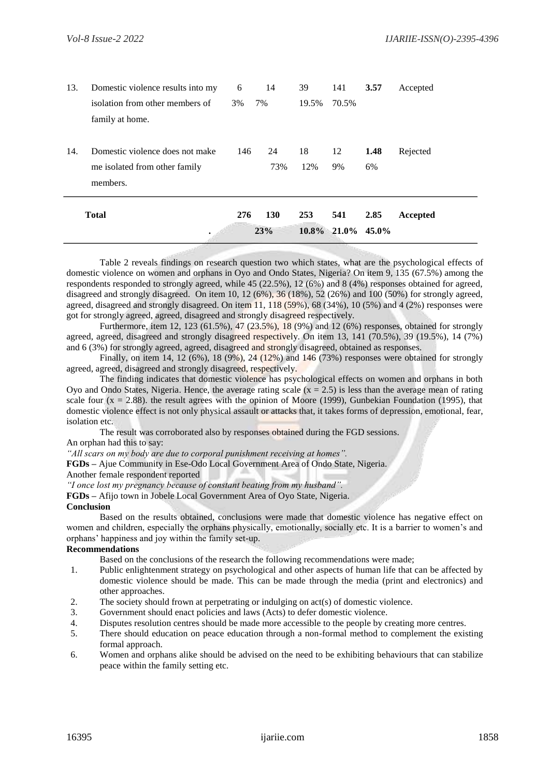| 13. | Domestic violence results into my | 6   | 14         | 39    | 141                  | 3.57 | Accepted |
|-----|-----------------------------------|-----|------------|-------|----------------------|------|----------|
|     | isolation from other members of   | 3%  | 7%         | 19.5% | 70.5%                |      |          |
|     | family at home.                   |     |            |       |                      |      |          |
| 14. | Domestic violence does not make   | 146 | 24         | 18    | 12                   | 1.48 | Rejected |
|     | me isolated from other family     |     | 73%        | 12%   | 9%                   | 6%   |          |
|     | members.                          |     |            |       |                      |      |          |
|     | <b>Total</b>                      | 276 | <b>130</b> | 253   | 541                  | 2.85 | Accepted |
|     | ٠                                 |     | 23%        |       | $10.8\%$ 21.0% 45.0% |      |          |

Table 2 reveals findings on research question two which states, what are the psychological effects of domestic violence on women and orphans in Oyo and Ondo States, Nigeria? On item 9, 135 (67.5%) among the respondents responded to strongly agreed, while 45 (22.5%), 12 (6%) and 8 (4%) responses obtained for agreed, disagreed and strongly disagreed. On item 10, 12 (6%), 36 (18%), 52 (26%) and 100 (50%) for strongly agreed, agreed, disagreed and strongly disagreed. On item 11, 118 (59%), 68 (34%), 10 (5%) and 4 (2%) responses were got for strongly agreed, agreed, disagreed and strongly disagreed respectively.

Furthermore, item 12, 123 (61.5%), 47 (23.5%), 18 (9%) and 12 (6%) responses, obtained for strongly agreed, agreed, disagreed and strongly disagreed respectively. On item 13, 141 (70.5%), 39 (19.5%), 14 (7%) and 6 (3%) for strongly agreed, agreed, disagreed and strongly disagreed, obtained as responses.

Finally, on item 14, 12 (6%), 18 (9%), 24 (12%) and  $146$  (73%) responses were obtained for strongly agreed, agreed, disagreed and strongly disagreed, respectively.

The finding indicates that domestic violence has psychological effects on women and orphans in both Oyo and Ondo States, Nigeria. Hence, the average rating scale  $(x = 2.5)$  is less than the average mean of rating scale four  $(x = 2.88)$ . the result agrees with the opinion of Moore (1999), Gunbekian Foundation (1995), that domestic violence effect is not only physical assault or attacks that, it takes forms of depression, emotional, fear, isolation etc.

The result was corroborated also by responses obtained during the FGD sessions. An orphan had this to say:

*"All scars on my body are due to corporal punishment receiving at homes".* 

**FGDs** *–* Ajue Community in Ese-Odo Local Government Area of Ondo State, Nigeria. Another female respondent reported

*"I once lost my pregnancy because of constant beating from my husband".* 

**FGDs –** Afijo town in Jobele Local Government Area of Oyo State, Nigeria.

## **Conclusion**

Based on the results obtained, conclusions were made that domestic violence has negative effect on women and children, especially the orphans physically, emotionally, socially etc. It is a barrier to women's and orphans' happiness and joy within the family set-up.

# **Recommendations**

Based on the conclusions of the research the following recommendations were made;

- 1. Public enlightenment strategy on psychological and other aspects of human life that can be affected by domestic violence should be made. This can be made through the media (print and electronics) and other approaches.
- 2. The society should frown at perpetrating or indulging on act(s) of domestic violence.
- 3. Government should enact policies and laws (Acts) to defer domestic violence.
- 4. Disputes resolution centres should be made more accessible to the people by creating more centres.
- 5. There should education on peace education through a non-formal method to complement the existing formal approach.
- 6. Women and orphans alike should be advised on the need to be exhibiting behaviours that can stabilize peace within the family setting etc.